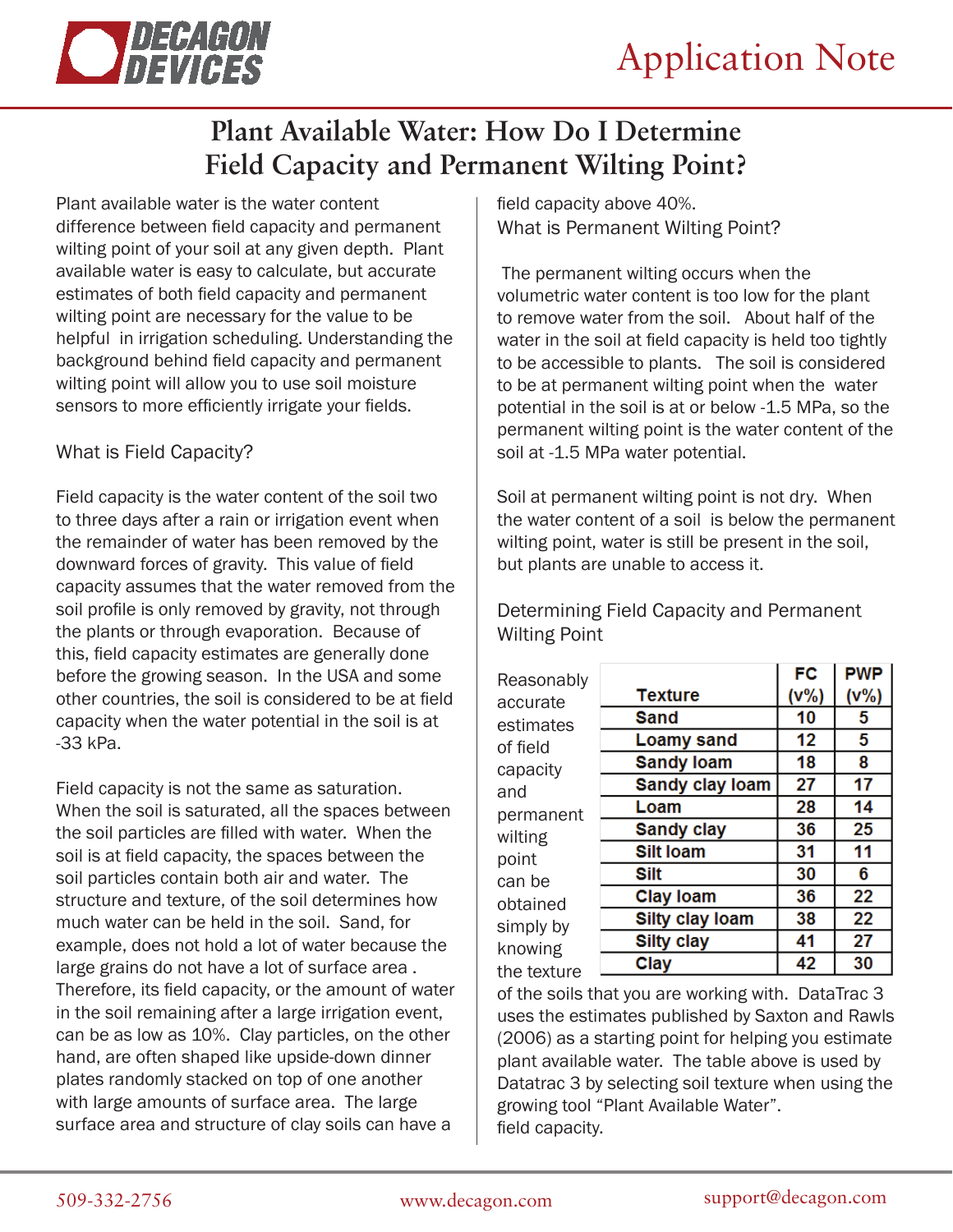

## **Plant Available Water: How Do I Determine Field Capacity and Permanent Wilting Point?**

Plant available water is the water content difference between field capacity and permanent wilting point of your soil at any given depth. Plant available water is easy to calculate, but accurate estimates of both field capacity and permanent wilting point are necessary for the value to be helpful in irrigation scheduling. Understanding the background behind field capacity and permanent wilting point will allow you to use soil moisture sensors to more efficiently irrigate your fields.

## What is Field Capacity?

Field capacity is the water content of the soil two to three days after a rain or irrigation event when the remainder of water has been removed by the downward forces of gravity. This value of field capacity assumes that the water removed from the soil profile is only removed by gravity, not through the plants or through evaporation. Because of this, field capacity estimates are generally done before the growing season. In the USA and some other countries, the soil is considered to be at field capacity when the water potential in the soil is at -33 kPa.

Field capacity is not the same as saturation. When the soil is saturated, all the spaces between the soil particles are filled with water. When the soil is at field capacity, the spaces between the soil particles contain both air and water. The structure and texture, of the soil determines how much water can be held in the soil. Sand, for example, does not hold a lot of water because the large grains do not have a lot of surface area . Therefore, its field capacity, or the amount of water in the soil remaining after a large irrigation event, can be as low as 10%. Clay particles, on the other hand, are often shaped like upside-down dinner plates randomly stacked on top of one another with large amounts of surface area. The large surface area and structure of clay soils can have a

field capacity above 40%. What is Permanent Wilting Point?

 The permanent wilting occurs when the volumetric water content is too low for the plant to remove water from the soil. About half of the water in the soil at field capacity is held too tightly to be accessible to plants. The soil is considered to be at permanent wilting point when the water potential in the soil is at or below -1.5 MPa, so the permanent wilting point is the water content of the soil at -1.5 MPa water potential.

Soil at permanent wilting point is not dry. When the water content of a soil is below the permanent wilting point, water is still be present in the soil, but plants are unable to access it.

Determining Field Capacity and Permanent Wilting Point

| Reasonably  |                        | <b>FC</b> | <b>PWP</b> |
|-------------|------------------------|-----------|------------|
| accurate    | <b>Texture</b>         | (V% )     | (V% )      |
| estimates   | <b>Sand</b>            | 10        | 5          |
| of field    | <b>Loamy sand</b>      | 12        | 5          |
| capacity    | <b>Sandy loam</b>      | 18        | 8          |
| and         | Sandy clay loam        | 27        | 17         |
| permanent   | Loam                   | 28        | 14         |
| wilting     | <b>Sandy clay</b>      | 36        | 25         |
| point       | <b>Silt loam</b>       | 31        | 11         |
| can be      | Silt                   | 30        | 6          |
| obtained    | <b>Clay loam</b>       | 36        | 22         |
| simply by   | <b>Silty clay loam</b> | 38        | 22         |
| knowing     | <b>Silty clay</b>      | 41        | 27         |
| the texture | Clay                   | 42        | 30         |
|             |                        |           |            |

of the soils that you are working with. DataTrac 3 uses the estimates published by Saxton and Rawls (2006) as a starting point for helping you estimate plant available water. The table above is used by Datatrac 3 by selecting soil texture when using the growing tool "Plant Available Water". field capacity.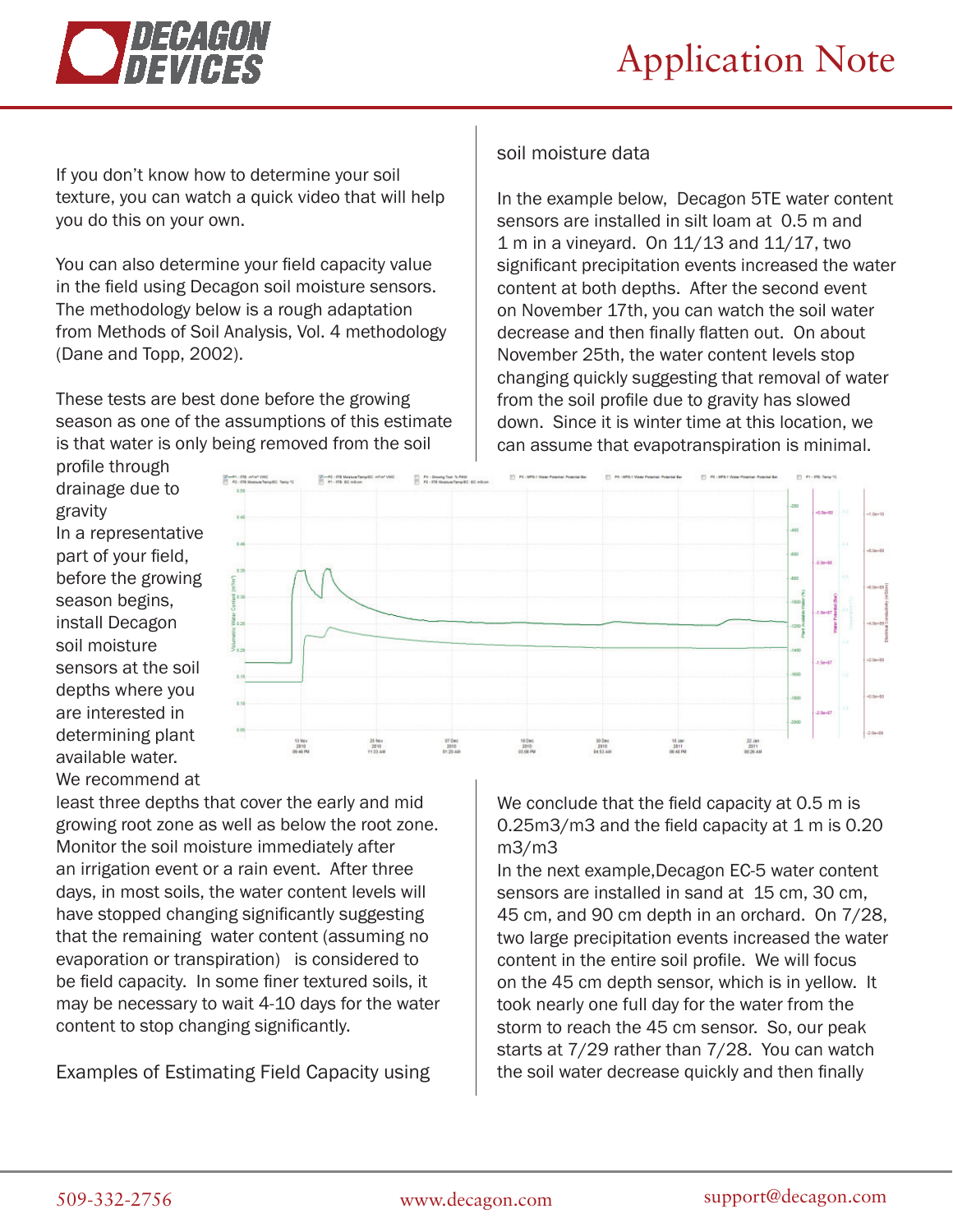

In the example below, Decagon 5TE water content sensors are installed in silt loam at 0.5 m and 1 m in a vineyard. On 11/13 and 11/17, two

significant precipitation events increased the water content at both depths. After the second event on November 17th, you can watch the soil water decrease and then finally flatten out. On about November 25th, the water content levels stop changing quickly suggesting that removal of water from the soil profile due to gravity has slowed down. Since it is winter time at this location, we can assume that evapotranspiration is minimal.



If you don't know how to determine your soil texture, you can watch a quick video that will help you do this on your own.

You can also determine your field capacity value in the field using Decagon soil moisture sensors. The methodology below is a rough adaptation from Methods of Soil Analysis, Vol. 4 methodology (Dane and Topp, 2002).

These tests are best done before the growing season as one of the assumptions of this estimate is that water is only being removed from the soil

profile through drainage due to gravity In a representative part of your field, before the growing season begins, install Decagon soil moisture sensors at the soil depths where you are interested in determining plant available water. We recommend at



soil moisture data

least three depths that cover the early and mid growing root zone as well as below the root zone. Monitor the soil moisture immediately after an irrigation event or a rain event. After three days, in most soils, the water content levels will have stopped changing significantly suggesting that the remaining water content (assuming no evaporation or transpiration) is considered to be field capacity. In some finer textured soils, it may be necessary to wait 4-10 days for the water content to stop changing significantly.

Examples of Estimating Field Capacity using

We conclude that the field capacity at 0.5 m is 0.25m3/m3 and the field capacity at 1 m is 0.20 m3/m3

In the next example,Decagon EC-5 water content sensors are installed in sand at 15 cm, 30 cm, 45 cm, and 90 cm depth in an orchard. On 7/28, two large precipitation events increased the water content in the entire soil profile. We will focus on the 45 cm depth sensor, which is in yellow. It took nearly one full day for the water from the storm to reach the 45 cm sensor. So, our peak starts at 7/29 rather than 7/28. You can watch the soil water decrease quickly and then finally